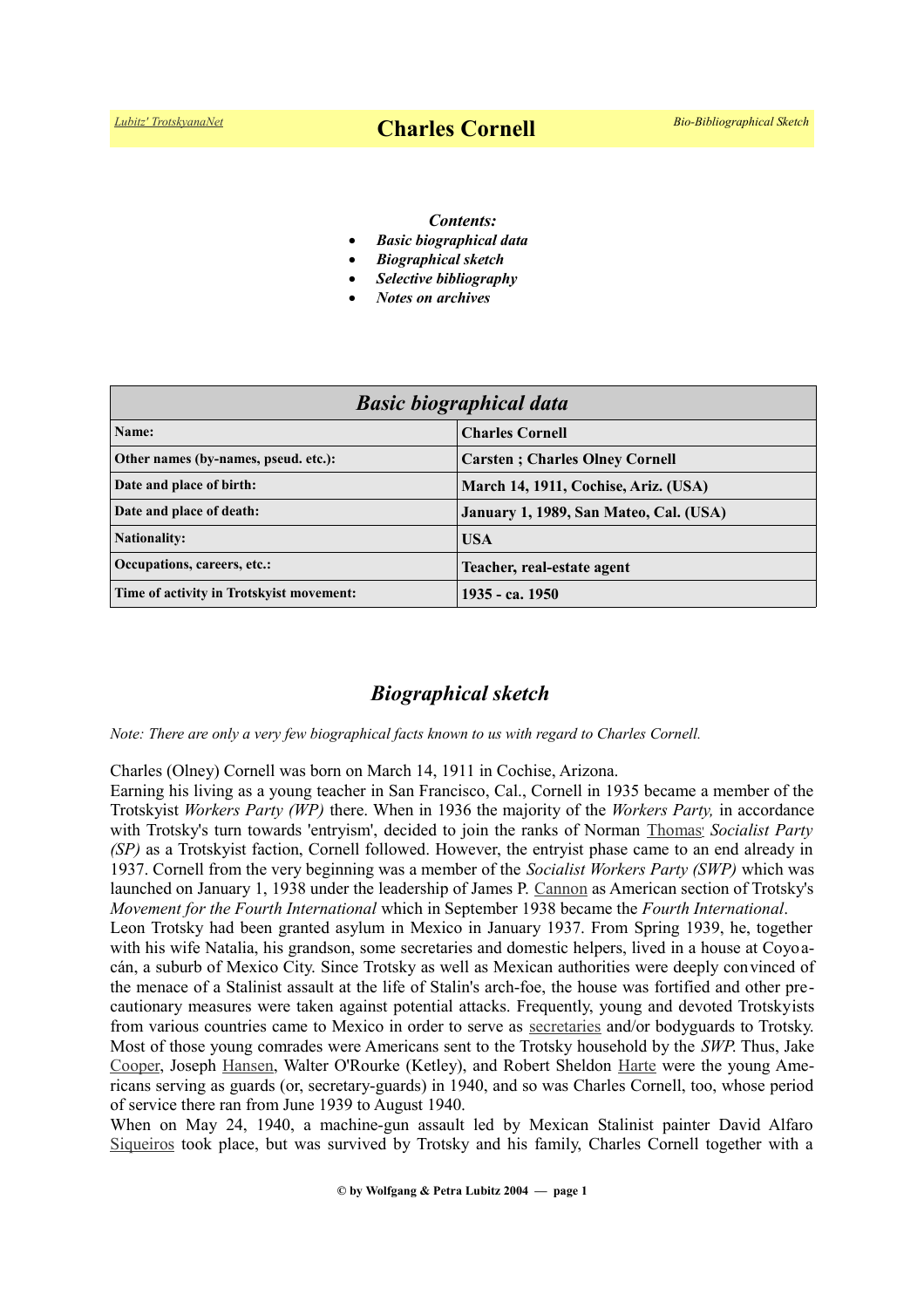#### *Contents:*

- *Basic biographical data*
- *Biographical sketch*
- *Selective bibliography*
- *Notes on archives*

| <b>Basic biographical data</b>           |                                        |
|------------------------------------------|----------------------------------------|
| Name:                                    | <b>Charles Cornell</b>                 |
| Other names (by-names, pseud. etc.):     | <b>Carsten</b> ; Charles Olney Cornell |
| Date and place of birth:                 | March 14, 1911, Cochise, Ariz. (USA)   |
| Date and place of death:                 | January 1, 1989, San Mateo, Cal. (USA) |
| <b>Nationality:</b>                      | <b>USA</b>                             |
| Occupations, careers, etc.:              | Teacher, real-estate agent             |
| Time of activity in Trotskyist movement: | 1935 - ca. 1950                        |

# *Biographical sketch*

*Note: There are only a very few biographical facts known to us with regard to Charles Cornell.*

Charles (Olney) Cornell was born on March 14, 1911 in Cochise, Arizona.

Earning his living as a young teacher in San Francisco, Cal., Cornell in 1935 became a member of the Trotskyist *Workers Party (WP)* there. When in 1936 the majority of the *Workers Party,* in accordance with Trotsky's turn towards 'entryism', decided to join the ranks of Norman [Thomas](https://en.wikipedia.org/wiki/Norman_Thomas)' *Socialist Party (SP)* as a Trotskyist faction, Cornell followed. However, the entryist phase came to an end already in 1937. Cornell from the very beginning was a member of the *Socialist Workers Party (SWP)* which was launched on January 1, 1938 under the leadership of James P. [Cannon](https://www.trotskyana.net/Trotskyists/Bio-Bibliographies/bio-bibl_cannon.pdf) as American section of Trotsky's *Movement for the Fourth International* which in September 1938 became the *Fourth International*. Leon Trotsky had been granted asylum in Mexico in January 1937. From Spring 1939, he, together with his wife Natalia, his grandson, some secretaries and domestic helpers, lived in a house at Coyoacán, a suburb of Mexico City. Since Trotsky as well as Mexican authorities were deeply convinced of the menace of a Stalinist assault at the life of Stalin's arch-foe, the house was fortified and other precautionary measures were taken against potential attacks. Frequently, young and devoted Trotskyists from various countries came to Mexico in order to serve as [secretaries](https://www.trotskyana.net/Leon_Trotsky/Pseudonyms/trotsky_pseudonyms.html#secretaries) and/or bodyguards to Trotsky.

Most of those young comrades were Americans sent to the Trotsky household by the *SWP*. Thus, Jake [Cooper,](https://en.wikipedia.org/wiki/Jake_Cooper) Joseph [Hansen,](https://www.trotskyana.net/Trotskyists/Bio-Bibliographies/bio-bibl_hansen_j.pdf) Walter O'Rourke (Ketley), and Robert Sheldon [Harte](https://en.wikipedia.org/wiki/Robert_Sheldon_Harte) were the young Americans serving as guards (or, secretary-guards) in 1940, and so was Charles Cornell, too, whose period of service there ran from June 1939 to August 1940.

When on May 24, 1940, a machine-gun assault led by Mexican Stalinist painter David Alfaro [Siqueiros](https://en.wikipedia.org/wiki/David_Alfaro_Siqueiros) took place, but was survived by Trotsky and his family, Charles Cornell together with a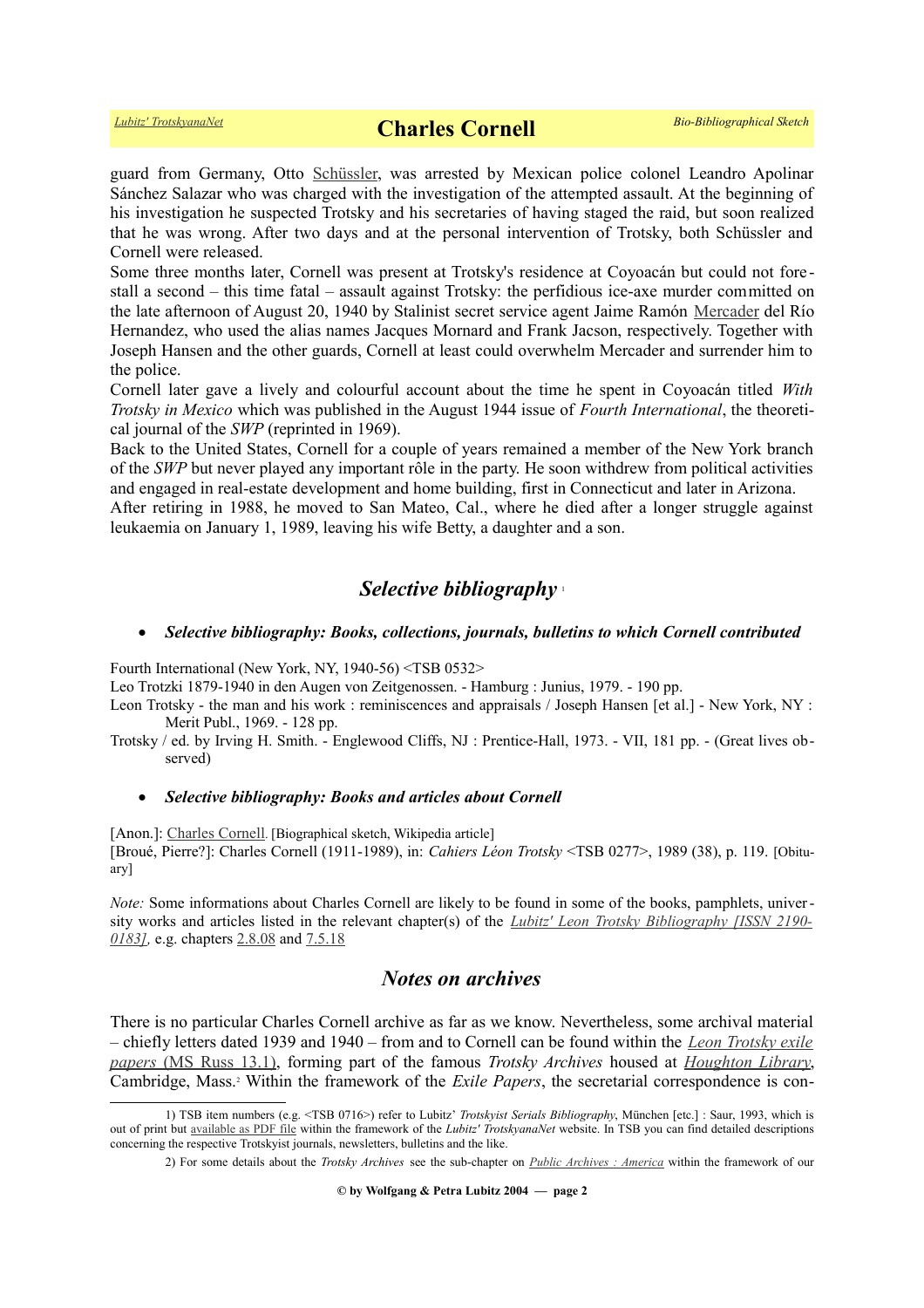guard from Germany, Otto [Schüssler,](https://www.trotskyana.net/Trotskyists/Bio-Bibliographies/bio-bibl_schuessler.pdf) was arrested by Mexican police colonel Leandro Apolinar Sánchez Salazar who was charged with the investigation of the attempted assault. At the beginning of his investigation he suspected Trotsky and his secretaries of having staged the raid, but soon realized that he was wrong. After two days and at the personal intervention of Trotsky, both Schüssler and Cornell were released.

Some three months later, Cornell was present at Trotsky's residence at Coyoacán but could not fore stall a second – this time fatal – assault against Trotsky: the perfidious ice-axe murder committed on the late afternoon of August 20, 1940 by Stalinist secret service agent Jaime Ramón [Mercader](https://en.wikipedia.org/wiki/Ram%C3%B3n_Mercader) del Río Hernandez, who used the alias names Jacques Mornard and Frank Jacson, respectively. Together with Joseph Hansen and the other guards, Cornell at least could overwhelm Mercader and surrender him to the police.

Cornell later gave a lively and colourful account about the time he spent in Coyoacán titled *With Trotsky in Mexico* which was published in the August 1944 issue of *Fourth International*, the theoretical journal of the *SWP* (reprinted in 1969).

Back to the United States, Cornell for a couple of years remained a member of the New York branch of the *SWP* but never played any important rôle in the party. He soon withdrew from political activities and engaged in real-estate development and home building, first in Connecticut and later in Arizona.

After retiring in 1988, he moved to San Mateo, Cal., where he died after a longer struggle against leukaemia on January 1, 1989, leaving his wife Betty, a daughter and a son.

# *Selective bibliography* [1](#page-1-0)

### *Selective bibliography: Books, collections, journals, bulletins to which Cornell contributed*

Fourth International (New York, NY, 1940-56) <TSB 0532>

Leo Trotzki 1879-1940 in den Augen von Zeitgenossen. - Hamburg : Junius, 1979. - 190 pp.

Leon Trotsky - the man and his work : reminiscences and appraisals / Joseph Hansen [et al.] - New York, NY : Merit Publ., 1969. - 128 pp.

Trotsky / ed. by Irving H. Smith. - Englewood Cliffs, NJ : Prentice-Hall, 1973. - VII, 181 pp. - (Great lives observed)

### *Selective bibliography: Books and articles about Cornell*

[Anon.]: [Charles Cornell](https://en.wikipedia.org/wiki/Charles_Cornell). [Biographical sketch, Wikipedia article] [Broué, Pierre?]: Charles Cornell (1911-1989), in: *Cahiers Léon Trotsky* <TSB 0277>, 1989 (38), p. 119. [Obituary]

*Note:* Some informations about Charles Cornell are likely to be found in some of the books, pamphlets, university works and articles listed in the relevant chapter(s) of the *[Lubitz' Leon Trotsky Bibliography \[ISSN 2190-](https://www.trotskyana.net/LubitzBibliographies/Trotsky_Bibliography/Leon_Trotsky_Bibliography.html) [0183\],](https://www.trotskyana.net/LubitzBibliographies/Trotsky_Bibliography/Leon_Trotsky_Bibliography.html)* e.g. chapters [2.8.08](https://www.trotskyana.net/LubitzBibliographies/Trotsky_Bibliography/Leon_Trotsky_Bibliography_02.html#c2.8.08) and [7.5.18](https://www.trotskyana.net/LubitzBibliographies/Trotsky_Bibliography/Leon_Trotsky_Bibliography_07.html#c7.5.18)

# *Notes on archives*

There is no particular Charles Cornell archive as far as we know. Nevertheless, some archival material – chiefly letters dated 1939 and 1940 – from and to Cornell can be found within the *[Leon Trotsky exile](https://hollisarchives.lib.harvard.edu/repositories/24/resources/6706)  [papers](https://hollisarchives.lib.harvard.edu/repositories/24/resources/6706)* [\(MS Russ 13.1\),](http://oasis.lib.harvard.edu//oasis/deliver/deepLink?_collection=oasis&uniqueId=hou00301) forming part of the famous *Trotsky Archives* housed at *[Houghton Library](https://www.trotskyana.net/Research_facilities/PublicArchives_America/publicarchives_america.html#houghton)*, Cambridge, Mass.<sup>[2](#page-1-1)</sup> Within the framework of the *Exile Papers*, the secretarial correspondence is con-

<sup>1)</sup> TSB item numbers (e.g. <TSB 0716>) refer to Lubitz' *Trotskyist Serials Bibliography*, München [etc.] : Saur, 1993, which is out of print but [available as PDF file](https://www.trotskyana.net/LubitzBibliographies/Serials_Bibliography/serials_bibliography.htm#PDF) within the framework of the *Lubitz' TrotskyanaNet* website. In TSB you can find detailed descriptions concerning the respective Trotskyist journals, newsletters, bulletins and the like.

<span id="page-1-1"></span><span id="page-1-0"></span><sup>2)</sup> For some details about the *Trotsky Archives* see the sub-chapter on *[Public Archives : America](https://www.trotskyana.net/Research_facilities/PublicArchives_America/publicarchives_america.html)* within the framework of our